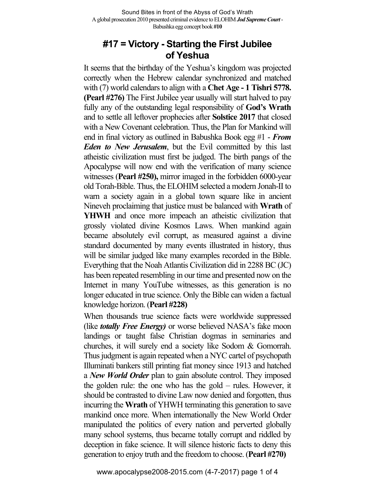# **#17 = Victory - Starting the First Jubilee of Yeshua**

It seems that the birthday of the Yeshua's kingdom was projected correctly when the Hebrew calendar synchronized and matched with (7) world calendars to align with a **Chet Age** - 1 Tishri 5778. **(Pearl #276)** The First Jubilee year usually will start halved to pay fully any of the outstanding legal responsibility of **God's Wrath**  and to settle all leftover prophecies after **Solstice 2017** that closed with a New Covenant celebration. Thus, the Plan for Mankind will end in final victory as outlined in Babushka Book egg #1 - *From Eden to New Jerusalem*, but the Evil committed by this last atheistic civilization must first be judged. The birth pangs of the Apocalypse will now end with the verification of many science witnesses (**Pearl #250),** mirror imaged in the forbidden 6000-year old Torah-Bible. Thus, the ELOHIM selected a modern Jonah-II to warn a society again in a global town square like in ancient Nineveh proclaiming that justice must be balanced with **Wrath** of **YHWH** and once more impeach an atheistic civilization that grossly violated divine Kosmos Laws. When mankind again became absolutely evil corrupt, as measured against a divine standard documented by many events illustrated in history, thus will be similar judged like many examples recorded in the Bible. Everything that the Noah Atlantis Civilization did in 2288 BC (JC) has been repeated resembling in our time and presented now on the Internet in many YouTube witnesses, as this generation is no longer educated in true science. Only the Bible can widen a factual knowledge horizon. (**Pearl #228)**

When thousands true science facts were worldwide suppressed (like *totally Free Energy)* or worse believed NASA's fake moon landings or taught false Christian dogmas in seminaries and churches, it will surely end a society like Sodom & Gomorrah. Thus judgment is again repeated when a NYC cartel of psychopath Illuminati bankers still printing fiat money since 1913 and hatched a *New World Order* plan to gain absolute control. They imposed the golden rule: the one who has the gold – rules. However, it should be contrasted to divine Law now denied and forgotten, thus incurring the **Wrath** of YHWH terminating this generation to save mankind once more. When internationally the New World Order manipulated the politics of every nation and perverted globally many school systems, thus became totally corrupt and riddled by deception in fake science. It will silence historic facts to deny this generation to enjoy truth and the freedom to choose. (**Pearl #270)**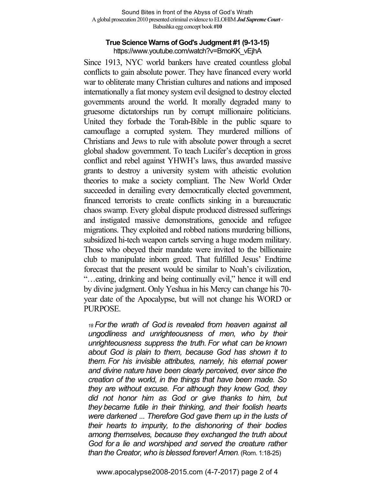#### **True Science Warns of God's Judgment #1 (9-13-15)** https://www.youtube.com/watch?v=BmoKK\_vEjhA

Since 1913, NYC world bankers have created countless global conflicts to gain absolute power. They have financed every world war to obliterate many Christian cultures and nations and imposed internationally a fiat money system evil designed to destroy elected governments around the world. It morally degraded many to gruesome dictatorships run by corrupt millionaire politicians. United they forbade the Torah-Bible in the public square to camouflage a corrupted system. They murdered millions of Christians and Jews to rule with absolute power through a secret global shadow government. To teach Lucifer's deception in gross conflict and rebel against YHWH's laws, thus awarded massive grants to destroy a university system with atheistic evolution theories to make a society compliant. The New World Order succeeded in derailing every democratically elected government, financed terrorists to create conflicts sinking in a bureaucratic chaos swamp. Every global dispute produced distressed sufferings and instigated massive demonstrations, genocide and refugee migrations. They exploited and robbed nations murdering billions, subsidized hi-tech weapon cartels serving a huge modern military. Those who obeyed their mandate were invited to the billionaire club to manipulate inborn greed. That fulfilled Jesus' Endtime forecast that the present would be similar to Noah's civilization, "…eating, drinking and being continually evil," hence it will end by divine judgment. Only Yeshua in his Mercy can change his 70 year date of the Apocalypse, but will not change his WORD or PURPOSE.

*<sup>18</sup> For the wrath of God is revealed from heaven against all ungodliness and unrighteousness of men, who by their unrighteousness suppress the truth. For what can be known about God is plain to them, because God has shown it to them. For his invisible attributes, namely, his eternal power and divine nature have been clearly perceived, ever since the creation of the world, in the things that have been made. So they are without excuse. For although they knew God, they did not honor him as God or give thanks to him, but they became futile in their thinking, and their foolish hearts were darkened* ... *Therefore God gave them up in the lusts of their hearts to impurity, to the dishonoring of their bodies among themselves, because they exchanged the truth about God for a lie and worshiped and served the creature rather than the Creator, who is blessed forever! Amen.* (Rom. 1:18-25)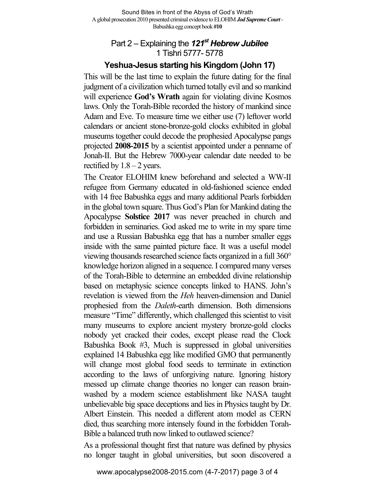## Part 2 – Explaining the *121st Hebrew Jubilee* 1 Tishri 5777- 5778

## **Yeshua-Jesus starting his Kingdom (John 17)**

This will be the last time to explain the future dating for the final judgment of a civilization which turned totally evil and so mankind will experience **God's Wrath** again for violating divine Kosmos laws. Only the Torah-Bible recorded the history of mankind since Adam and Eve. To measure time we either use (7) leftover world calendars or ancient stone-bronze-gold clocks exhibited in global museums together could decode the prophesied Apocalypse pangs projected **2008-2015** by a scientist appointed under a penname of Jonah-II. But the Hebrew 7000-year calendar date needed to be rectified by  $1.8 - 2$  years.

The Creator ELOHIM knew beforehand and selected a WW-II refugee from Germany educated in old-fashioned science ended with 14 free Babushka eggs and many additional Pearls forbidden in the global town square. Thus God's Plan for Mankind dating the Apocalypse **Solstice 2017** was never preached in church and forbidden in seminaries. God asked me to write in my spare time and use a Russian Babushka egg that has a number smaller eggs inside with the same painted picture face. It was a useful model viewing thousands researched science facts organized in a full 360° knowledge horizon aligned in a sequence. I compared many verses of the Torah-Bible to determine an embedded divine relationship based on metaphysic science concepts linked to HANS. John's revelation is viewed from the *Heh* heaven-dimension and Daniel prophesied from the *Daleth*-earth dimension. Both dimensions measure "Time" differently, which challenged this scientist to visit many museums to explore ancient mystery bronze-gold clocks nobody yet cracked their codes, except please read the Clock Babushka Book #3, Much is suppressed in global universities explained 14 Babushka egg like modified GMO that permanently will change most global food seeds to terminate in extinction according to the laws of unforgiving nature. Ignoring history messed up climate change theories no longer can reason brainwashed by a modern science establishment like NASA taught unbelievable big space deceptions and lies in Physics taught by Dr. Albert Einstein. This needed a different atom model as CERN died, thus searching more intensely found in the forbidden Torah-Bible a balanced truth now linked to outlawed science?

As a professional thought first that nature was defined by physics no longer taught in global universities, but soon discovered a